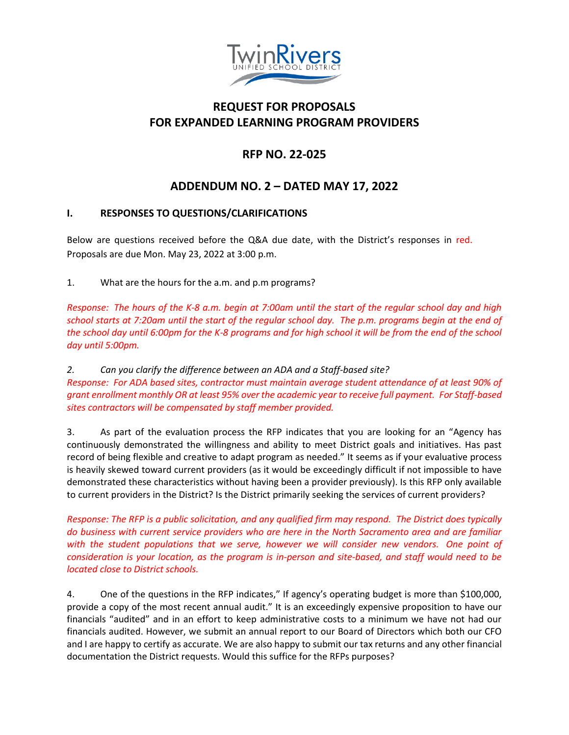

## **REQUEST FOR PROPOSALS FOR EXPANDED LEARNING PROGRAM PROVIDERS**

# **RFP NO. 22-025**

## **ADDENDUM NO. 2 – DATED MAY 17, 2022**

### **I. RESPONSES TO QUESTIONS/CLARIFICATIONS**

Below are questions received before the Q&A due date, with the District's responses in red. Proposals are due Mon. May 23, 2022 at 3:00 p.m.

1. What are the hours for the a.m. and p.m programs?

*Response: The hours of the K-8 a.m. begin at 7:00am until the start of the regular school day and high school starts at 7:20am until the start of the regular school day. The p.m. programs begin at the end of the school day until 6:00pm for the K-8 programs and for high school it will be from the end of the school day until 5:00pm.*

*2. Can you clarify the difference between an ADA and a Staff-based site? Response: For ADA based sites, contractor must maintain average student attendance of at least 90% of grant enrollment monthly OR at least 95% over the academic year to receive full payment. For Staff-based sites contractors will be compensated by staff member provided.*

3. As part of the evaluation process the RFP indicates that you are looking for an "Agency has continuously demonstrated the willingness and ability to meet District goals and initiatives. Has past record of being flexible and creative to adapt program as needed." It seems as if your evaluative process is heavily skewed toward current providers (as it would be exceedingly difficult if not impossible to have demonstrated these characteristics without having been a provider previously). Is this RFP only available to current providers in the District? Is the District primarily seeking the services of current providers?

*Response: The RFP is a public solicitation, and any qualified firm may respond. The District does typically do business with current service providers who are here in the North Sacramento area and are familiar with the student populations that we serve, however we will consider new vendors. One point of consideration is your location, as the program is in-person and site-based, and staff would need to be located close to District schools.*

4. One of the questions in the RFP indicates," If agency's operating budget is more than \$100,000, provide a copy of the most recent annual audit." It is an exceedingly expensive proposition to have our financials "audited" and in an effort to keep administrative costs to a minimum we have not had our financials audited. However, we submit an annual report to our Board of Directors which both our CFO and I are happy to certify as accurate. We are also happy to submit our tax returns and any other financial documentation the District requests. Would this suffice for the RFPs purposes?